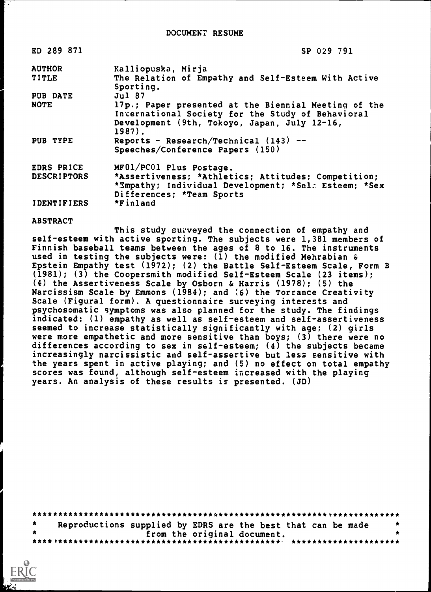| <b>ED 289 871</b>  | SP 029 791                                                                                                                                                          |
|--------------------|---------------------------------------------------------------------------------------------------------------------------------------------------------------------|
| <b>AUTHOR</b>      | Kalliopuska, Mirja                                                                                                                                                  |
| <b>TITLE</b>       | The Relation of Empathy and Self-Esteem With Active<br>Sporting.                                                                                                    |
| <b>PUB DATE</b>    | Jul 87                                                                                                                                                              |
| <b>NOTE</b>        | 17p.; Paper presented at the Biennial Meeting of the<br>International Society for the Study of Behavioral<br>Development (9th, Tokoyo, Japan, July 12-16,<br>1987). |
| PUB TYPE           | Reports - Research/Technical (143) --<br>Speeches/Conference Papers (150)                                                                                           |
| EDRS PRICE         | MF01/PC01 Plus Postage.                                                                                                                                             |
| <b>DESCRIPTORS</b> | *Assertiveness; *Athletics; Attitudes; Competition;<br>*Smpathy; Individual Development; *Sel: Esteem; *Sex<br>Differences; *Team Sports                            |
| <b>IDENTIFIERS</b> | *Finland                                                                                                                                                            |

ABSTRACT

This study surveyed the connection of empathy and self-esteem with active sporting. The subjects were 1,381 members of Finnish baseball teams between the ages of 8 to 16. The instruments used in testing the subjects were: (1) the modified Mehrabian & Epstein Empathy test (1972); (2) the Battle Self-Esteem Scale, Form B (1981); (3) the Coopersmith modified Self-Esteem Scale (23 items); (4) the Assertiveness Scale by Osborn & Harris (1978); (5) the Narcissism Scale by Emmons (1984); and (6) the Torrance Creativity Scale (Figural form). A questionnaire surveying interests and psychosomatic symptoms was also planned for the study. The findings indicated: (1) empathy as well as self-esteem and self-assertiveness seemed to increase statistically significantly with age; (2) girls were more empathetic and more sensitive than boys;  $(3)$  there were no differences according to sex in self-esteem; (4) the subjects became increasingly narcissistic and self-assertive but less sensitive with the years spent in active playing; and (5) no effect on total empathy scores was found, although self-esteem increased with the playing years. An analysis of these results is presented. (JD)

| $\star$ | Reproductions supplied by EDRS are the best that can be made |                             |  | - 31 |
|---------|--------------------------------------------------------------|-----------------------------|--|------|
|         |                                                              | from the original document. |  |      |
|         |                                                              |                             |  |      |

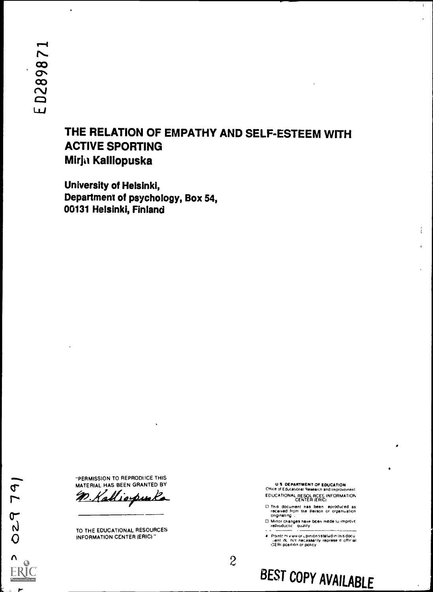## THE RELATION OF EMPATHY AND SELF-ESTEEM WITH ACTIVE SPORTING Mirja KaIllopuska

University of Helsinki, Department of psychology, Box 54, 00131 Helsinki, Finland

"PERMISSION TO REPRODI ICE THIS

r <u>n Ka</u><br>or MATERIAL HAS BEEN GRANTED BY

TO THE EDUCATIONAL RESOURCES INFORMATION CENTER (ERIC)"

U S DEPARTMENT OF EDUCATION Office or Educational Research and improvoment EDUCATIONAL RESOL RCES INFORMATION CENTER (ERIC)  $\mathbf{1}$ 

This document has been eproduced as<br>received from the Person or organization<br>originating

0 Minor changes have been made to Improvc reProductif Oujhty

Pointci∩i view or upiniondistated in Ihis docu<br>Tient, dc. not inecassarily represe \ti official<br>CERI position or policy

 $\mathcal{Z}$ 

 $\sigma$  $N$  $\overline{O}$  INFO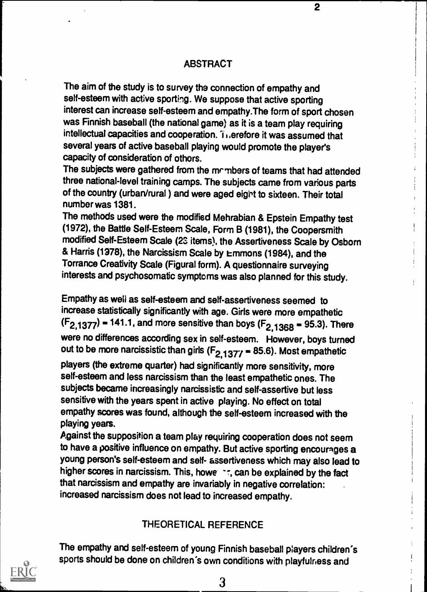#### ABSTRACT

The aim of the study is to survey the connection of empathy and self-esteem with active sporting. We suppose that active sporting interest can increase self-esteem and empathy.The form of sport chosen was Finnish baseball (the national game) as it is a team play requiring intellectual capacities and cooperation. Trierefore it was assumed that several years of active baseball playing would promote the player's capacity of consideration of othors.

The subjects were gathered from the mrmbers of teams that had attended three national-level training camps. The subjects came from various parts of the country (urban/rural ) and were aged eight to sixteen. Their total number was 1381.

The methods used were the modified Mehrabian & Epstein Empathy test (1972), the Battle Self-Esteem Scale, Form B (1981), the Coopersmith modified Self-Esteem Scale (2s items), the Assertiveness Scale by Osbom & Harris (1978), the Narcissism Scale by Emmons (1984), and the Torrance Creativity Scale (Figural form). A questionnaire surveying interests and psychosomatic symptoms was also planned for this study.

Empathy as well as self-esteem and self-assertiveness seemed to increase statistically significantly with age. Girls were more empathetic  $(F_{2,1377})$  = 141.1, and more sensitive than boys  $(F_{2,1368} = 95.3)$ . There were no differences according sex in self-esteem. However, boys turned out to be more narcissistic than girls  $(F_{2,1377} = 85.6)$ . Most empathetic

players (the extreme quarter) had significantly more sensitivity, more self-esteem and less narcissism than the least empathetic ones. The subjects became increasingly narcissistic and self-assertive but less sensitive with the years spent in active playing. No effect on total empathy scores was found, although the self-esteem increased with the playing years.

Against the supposition a team play requiring cooperation does not seem to have a positive influence on empathy. But active sporting encourages a young person's self-esteem and self- assertiveness which may also lead to higher scores in narcissism. This, howe art, can be explained by the fact that narcissism and empathy are invariably in negative correlation: increased narcissism does not lead to increased empathy.

### THEORETICAL REFERENCE

The empathy and self-esteem of young Finnish baseball players children's sports should be done on children's own conditions with playfulness and



3

 $\overline{2}$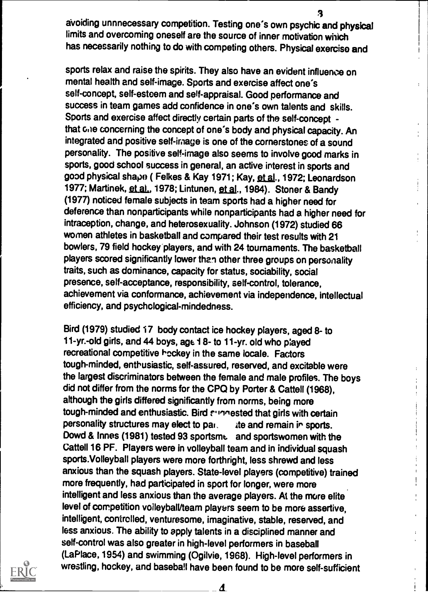3 avoiding unnnecessary competition. Testing one's own psychic and physical limits and overcoming oneself are the source of inner motivation which has necessarily nothing to do with competing others. Physical exerciso and

sports relax and raise the spirits. They also have an evident influence on mental health and self-image. Sports and exercise affect one's self-concept, self-esteem and self-appraisal. Good performance and success in team games add confidence in one's own talents and skills. Sports and exercise affect directly certain parts of the self-concept that GRe concerning the concept of one's body and physical capacity. An integrated and positive self-image is one of the cornerstones of a sound personality. The positive self-image also seems to involve good marks in sports, good school success in general, an active interest in sports and good physical shape ( Felkes & Kay 1971; Kay, et al., 1972; Leonardson 1977; Martinek, et al., 1978; Lintunen, et al., 1984). Stoner & Bandy (1977) noticed female subjects in team sports had a higher need for deference than nonparticipants while nonparticipants had a higher need for intraception, change, and heterosexuality. Johnson (1972) studied 66 women athletes in basketball and compared their test results with 21 bowlers, 79 field hockey players, and with 24 tournaments. The basketball players scored significantly lower than other three groups on personality traits, such as dominance, capacity for status, sociability, social presence, self-acceptance, responsibility, self-control, tolerance, achievement via conformance, achievement via independence, intellectual efficiency, and psychological-mindedness.

Bird (1979) studied 17 body contact ice hockey players, aged 8- to 11-yr.-old girls, and 44 boys, age 18- to 11-yr. old who played recreational competitive heckey in the same locale. Factors tough-minded, enthusiastic, self-assured, reserved, and excitable were the largest discriminators between the female and male profiles. The boys did not differ from the norms for the CPO by Porter & Cattell (1968), although the girls differed significantly from norms, being more tough-minded and enthusiastic. Bird surrested that girls with certain personality structures may elect to par. ite and remain in sports. Dowd & Innes (1981) tested 93 sportsme and sportswomen with the Cattell 16 PF. Players were in volleyball team and in individual squash sports.Volleyball players were more forthright, less shrewd and less anxious than the squash players. State-level players (competitive) trained more frequently, had participated in sport for longer, were more intelligent and less anxious than the average players. At the more elite level of competition volleybalVteam players seem to be more assertive, intelligent, controlled, venturesome, imaginative, stable, reserved, and less anxious. The ability to apply talents in a disciplined manner and self-control was also greater in high-level performers in baseball (La Place, 1954) and swimming (Ogilvie, 1968). High-level performers in wrestling, hockey, and baseball have been found to be more self-sufficient



₫

i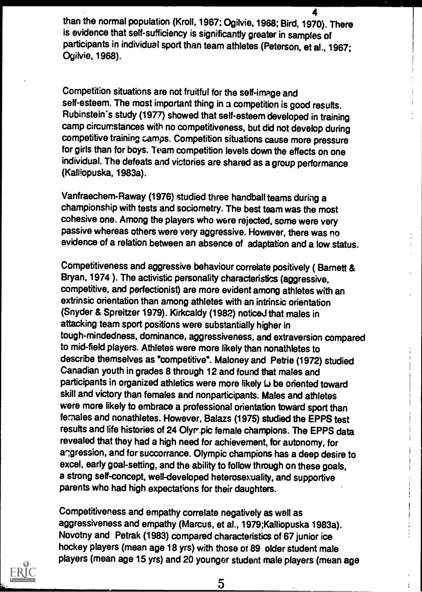4 than the normal population (Kroll, 1967; Ogilvie, 1968; Bird, 1970). There is evidence that self-sufficiency is significantly greater in samples of participants in individual sport than team athletes (Peterson, et al., 1967; Ogilvie, 1968).

Competition situations are not fruitful for the self-image and self-esteem. The most important thing in a competition is good results. Rubinstein's study (1977) showed that self-esteem developed in training camp circumstances with no competitiveness, but did not develop during competitive training camps. Competition situations cause more pressure for girls than for boys. Team competition levels down the effects on one individual. The defeats and victories are shared as a group performance (Kalliopuska, 1983a).

Vanfraechem-Raway (1976) studied three handball teams during a championship with tests and sociometry. The best team was the most cohesive one. Among the players who were rejected, some were very passive whereas others were very aggressive. However, there was no evidence of a relation between an absence of adaptation and a low status.

Competitiveness and aggressive behaviour correlate positively ( Bamett & Bryan, 1974 ). The activistic personality characteristics (aggressive, competitive, and perfectionist) are more evident among athletes with an extrinsic orientation than among athletes with an intrinsic orientation (Snyder & Spreitzer 1979). Kirkcaldy (1982) noticed that males in attacking team sport positions were substantially higher in tough-mindedness, dominance, aggressiveness, and extraversion compared to mid-field players. Athletes were more likely than nonathletes to describe themselves as "competitive". Maloney and Petrie (1972) studied Canadian youth in grades 8 through 12 and found that males and participants in organized athletics were more likely to be oriented toward skill and victory than females and nonparticipants. Males and athletes were more likely to embrace a professional orientation toward sport than females and nonathletes. However, Balazs (1975) studied the EPPS test results and life histories of 24 Olyr.pic female champions. The EPPS data revealed that they had a high need for achievement, for autonomy, for angression, and for succorrance. Olympic champions has a deep desire to excel, early goal-setting, and the ability to follow through on these goals, a strong self-concept, well-developed heterosexuality, and supportive parents who had high expectations for their daughters.

Competitiveness and empathy correlate negatively as well as aggressiveness and empathy (Marcus, et al., 1979;Kalliopuska 1983a). Novotny and Petrak (1983) compared characteristics of 67 junior ice hockey players (mean age 18 yrs) with those of 89 older student male players (mean age 15 yrs) and 20 younger student male players (mean age



5

÷,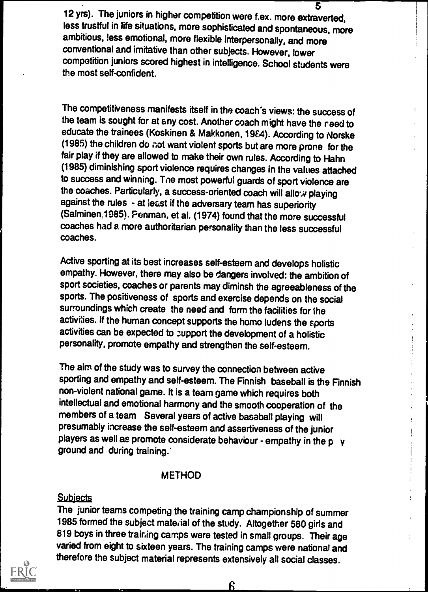5 12 yrs). The juniors in higher competition were f.ex. more extraverted, less trustful in life situations, more sophisticated and spontaneous, more ambitious, less emotional, more flexible interpersonally, and more conventional and imitative than other subjects. However, lower competition juniors scored highest in intelligence. School students were the most self-confident.

The competitiveness manifests itself in the coach's views: the success of the team is sought for at any cost. Another coach might have the reed to educate the trainees (Koskinen & Makkonen, 1984). According to Norske (1985) the children do not want violent sports but are more prone for the fair play if they are allowed to make their own rules. According to Hahn (1985) diminishing sport violence requires changes in the values attached to success and winning. Tne most powerful guards of sport violence are the coaches. Particularly, a success-oriented coach will allow playing against the rules - at least if the adversary team has superiority (Salminen, 1985). Penman, et al. (1974) found that the more successful coaches had a more authoritarian personality than the less successful coaches.

 $\mathbf{r}$ 

 $\mathbf{I}$  $\mathbf{I}$  $\mathbf{I}$ 

ŧ

Active sporting at its best increases self-esteem and develops holistic empathy. However, there may also be dangers involved: the ambition of sport societies, coaches or parents may diminsh the agreeableness of the sports. The positiveness of sports and exercise depends on the social surroundings which create the need and form the facilities for the activities. If the human concept supports the homo ludens the sports activities can be expected to zupport the development of a holistic personality, promote empathy and strengthen the self-esteem.

The aim of the study was to survey the connection between active sporting and empathy and self-esteem. The Finnish baseball is the Finnish non-violent national game. It is a team game which requires both intellectual and emotional harmony and the smooth cooperation of the members of a team Several years of active baseball playing will presumably increase the self-esteem and assertiveness of the junior players as well as promote considerate behaviour - empathy in the  $p \rightarrow q$ ground and during training.'

#### METHOD

#### **Subjects**

The junior teams competing the training camp championship of summer 1985 formed the subject material of the study. Altogether 560 girls and 819 boys in three training camps were tested in small groups. Their age varied from eight to sixteen years. The training camps were national and therefore the subject material represents extensively all social classes.



<u>ჩ</u>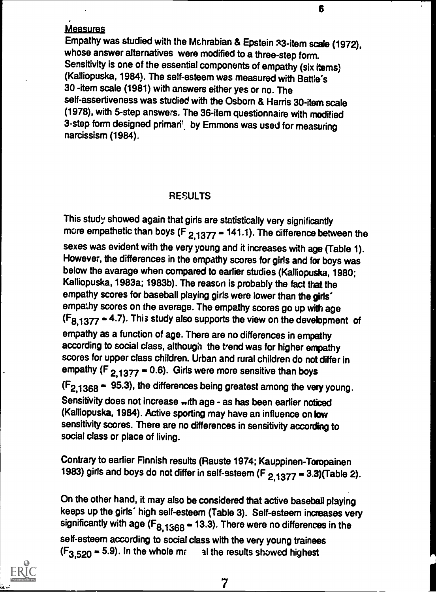#### Measures

Empathy was studied with the Mchrabian & Epstein s3-item scale (1972), whose answer alternatives were modified to a three-step form. Sensitivity is one of the essential components of empathy (six items) (Kalliopuska, 1984). The self-esteem was measured with Battle's 30 -item scale (1981) with answers either yes or no. The self-assertiveness was studied with the Osborn & Harris 30-item scale (1978), with 5-step answers. The 36-item questionnaire with modified 3-step form designed primari' by Emmons was used for measuring narcissism (1984).

## RESULTS

This study showed again that girls are statistically very significantly more empathetic than boys ( $F_{2,1377}$  = 141.1). The difference between the sexes was evident with the very young and it increases with age (Table 1). However, the differences in the empathy scores for girls and for boys was below the avarage when compared to earlier studies (Kalliopuska, 1980; Kalliopuska, 1983a; 1983b). The reason is probably the fact that the empathy scores for baseball playing girls were lower than the girls' empathy scores on the average. The empathy scores go up with age  $(F_{8,1377} = 4.7)$ . This study also supports the view on the development of empathy as a function of age. There are no differences in empathy according to social class, although the trend was for higher empathy scores for upper class children. Urban and rural children do not differ in empathy  $(F_{2,1377} = 0.6)$ . Girls were more sensitive than boys  $(F_{2.1368} - 95.3)$ , the differences being greatest among the very young. Sensitivity does not increase ...th age - as has been earlier noticed (Kalliopuska, 1984). Active sporting may have an influence on low sensitivity scores. There are no differences in sensitivity according to social class or place of living.

Contrary to earlier Finnish results (Rauste 1974; Kauppinen-Toropainen 1983) girls and boys do not differ in self-esteem (F  $_{2.1377}$  = 3.3)(Table 2).

On the other hand, it may also be considered that active baseball playing keeps up the girls' high self-esteem (Table 3). Self-esteem increases very significantly with age ( $F_{8,1368}$  = 13.3). There were no differences in the self-esteem according to social class with the very young trainees  $(F_{3,520} = 5.9)$ . In the whole mass all the results showed highest

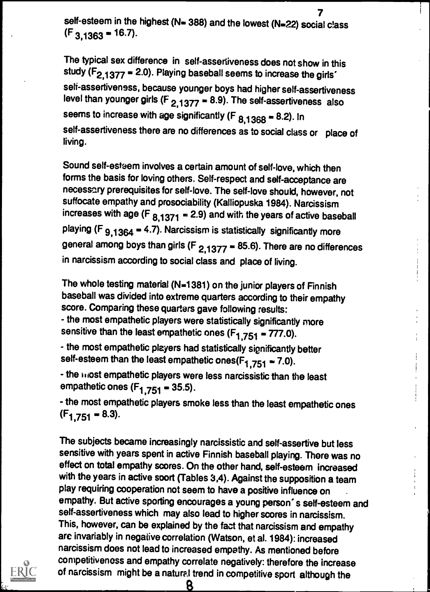7 self-esteem in the highest (N= 388) and the lowest (N=22) social class  $(F_{3,1363} = 16.7)$ .

The typical sex difference in self-assertiveness does not show in this study ( $F_{2,1377}$  = 2.0). Playing baseball seems to increase the girls' self-assertiveness, because younger boys had higher self-assertiveness level than younger girls (F  $_{2,1377}$  = 8.9). The self-assertiveness also seems to increase with age significantly (F  $_{8,1368}$  = 8.2). In self-assertiveness there are no differences as to social class or place of living.

Sound self-esteem involves a certain amount of self-love, which then forms the basis for loving others. Self-respect and self-acceptance are necessary prerequisites for self-love. The self-love should, however, not suffocate empathy and prosociability (Kalliopuska 1984). Narcissism increases with age (F  $_{8.1371}$  = 2.9) and with the years of active baseball playing (F  $9.1364$  = 4.7). Narcissism is statistically significantly more general among boys than girls (F  $_{2,1377}$  = 85.6). There are no differences in narcissism according to social class and place of living.

The whole testing material (N=1381) on the junior players of Finnish baseball was divided into extreme quarters according to their empathy score. Comparing these quarters gave following results: - the most empathetic players were statistically significantly more sensitive than the least empathetic ones  $(F_{1,751} = 777.0)$ .

- the most empathetic players had statistically significantly better self-esteem than the least empathetic ones( $F_{1,751}$  = 7.0).

- the most empathetic players were less narcissistic than the least empathetic ones  $(F_{1,751} = 35.5)$ .

- the most empathetic players smoke less than the least empathetic ones  $(F<sub>1.751</sub> = 8.3).$ 

The subjects became increasingly narcissistic and self-assertive but less sensitive with years spent in active Finnish baseball playing. There was no effect on total empathy scores. On the other hand, self-esteem increased with the years in active soort (Tables 3,4). Against the supposition a team play requiring cooperation not seem to have a positive influence on empathy. But active sporting encourages a young person' s self-esteem and self-assertiveness which may also lead to higher scores in narcissism. This, however, can be explained by the fact that narcissism and empathy are invariably in negative correlation (Watson, et al. 1984): increased narcissism does not lead to increased empathy. As mentioned before competitiveness and empathy correlate negatively: therefore the increase of narcissism might be a natural trend in competitive sport although the

8

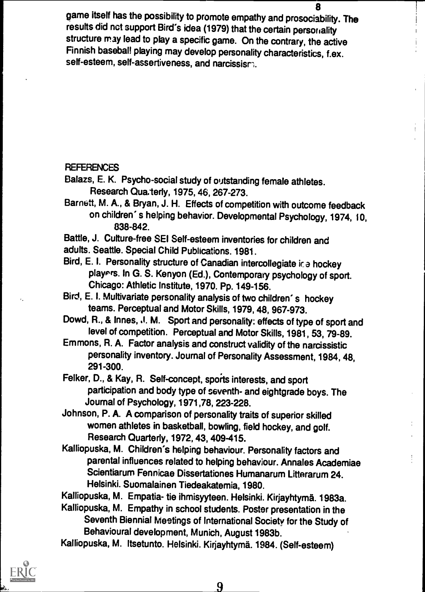8 game itself has the possibility to promote empathy and prosociability. The results did not support Bird's idea (1979) that the certain personality structure may lead to play a specific game. On the contrary, the active Finnish baseball playing may develop personality characteristics, f.ex. self-esteem, self-assertiveness, and narcissism.

#### REFERENCES

Balazs, E. K. Psycho-social study of outstanding female athletes. Research Qua.terly, 1975, 46, 267-273.

Barnett, M. A., & Bryan, J. H. Effects of competition with outcome feedback on children' s helping behavior. Developmental Psychology, 1974, 10, 838-842.

Battle, J. Culture-free SEI Self-esteem inventories for children and adults. Seattle. Special Child Publications. 1981.

- Bird, E. I. Personality structure of Canadian intercollegiate ice hockey players. In G. S. Kenyon (Ed.), Contemporary psychology of sport. Chicago: Athletic Institute, 1970. Pp. 149-156.
- Bird, E. I. Multivariate personality analysis of two children' s hockey teams. Perceptual and Motor Skills, 1979, 48, 967-973.

Dowd, R., & Innes, J. M. Sport and personality: effects of type of sport and level of competition. Perceptual and Motor Skills, 1981, 53, 79-89.

Emmons, R. A. Factor analysis and construct validity of the narcissistic personality inventory. Journal of Personality Assessment, 1984, 48, 291-300.

Felker, D., & Kay, R. Self-concept, sports interests, and sport participation and body type of seventh- and eightgrade boys. The Journal of Psychology, 1971,78, 223-228.

Johnson, P. A. A comparison of personality traits of superior skilled women athletes in basketball, bowling, field hockey, and golf. Research Quarterly, 1972, 43, 409-415.

Kalliopuska, M. Children's helping behaviour. Personality factors and parental influences related to helping behaviour. Annales Academiae Scientiarum Fennicae Dissertationes Humanarum Litterarum 24. Helsinki. Suomalainen Tiedeakatemia, 1980.

Kalliopuska, M. Empatia- tie ihmisyyteen. Helsinki. Kirjayhtymä. 1983a.

Kalliopuska, M. Empathy in school students. Poster presentation in the Seventh Biennial Meetings of International Society for the Study of Behavioural development, Munich, August 1983b.

Kalliopuska, M. Itsetunto. Helsinki. Kirjayhtymä. 1984. (Self-esteem)



ŧ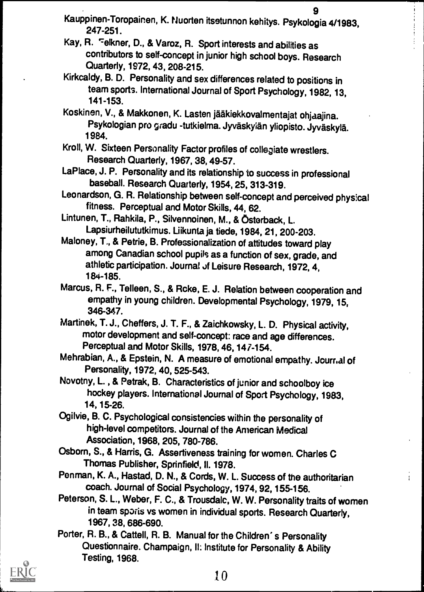- 9 Kauppinen-Toropainen, K. Nuorten itsetunnon kehitys. Psykologia 4/1983, 247-251.
- Kay, R. Felkner, D., & Varoz, R. Sport interests and abilities as contributors to self-concept in junior high school boys. Research Quarterly, 1972, 43, 208-215.
- Kirkcaldy, B. D. Personality and sex differences related to positions in team sports. International Journal of Sport Psychology, 1982, 13, 141-153.
- Koskinen, V., & Makkonen, K. Lasten jääkiekkovalmentajat ohjaajina. Psykologian pro gradu -tutkielma. Jyväskylän yliopisto. Jyväskylä. 1984.
- Kroll, W. Sixteen Personality Factor profiles of collegiate wrestlers. Research Quarterly, 1967, 38, 49-57.
- LaPlace, J. P. Personality and its relationship to success in professional baseball. Research Quarterly, 1954, 25, 313-319.
- Leonardson, G. R. Relationship between self-concept and perceived physical fitness. Perceptual and Motor Skills, 44, 62.
- Lintunen, T., Rahkila, P., Silvennoinen, M., & Ostorback, L. Lapsiurheilututkimus. Liikunta ja tiede, 1984, 21, 200-203.
- Maloney, T., & Petrie, B. Professionalization of attitudes toward play among Canadian school pupils as a function of sex, grade, and athletic participation. Journal of Leisure Research, 1972, 4, 184-185.
- Marcus, R. F., Telleen, S., & Rcke, E. J. Relation between cooperation and empathy in young children. Developmental Psychology, 1979, 15, 346-347.
- Martinek, T. J., Cheffers, J. T. F., & Zaichkowsky, L. D. Physical activity, motor development and self-concept: race and age differences. Perceptual and Motor Skills, 1978, 46, 147-154.
- Mehrabian, A., & Epstein, N. A measure of emotional empathy. Journal of Personality, 1972, 40, 525-543.
- Novotny, L. , & Petrak, B. Characteristics of junior and schoolboy ice hockey players. International Journal of Sport Psychology, 1983, 14, 15-26.
- Ogilvie, B. C. Psychological consistencies within the personality of high-level competitors. Journal of the American Medical Association, 1968, 205, 780-786.
- Osborn, S., & Harris, G. Assertiveness training for women. Charles C Thomas Publisher, Sprinfield, II. 1978.
- Penman, K. A., Hastad, D. N., & Cords, W. L. Success of the authoritarian coach. Journal of Social Psychology, 1974, 92, 155-156.
- Peterson, S. L., Weber, F. C., & Trousdalc, W. W. Personality traits of women in team sports vs women in individual sports. Research Quarterly, 1967, 38, 686-690.
- Porter, R. B., & Cattell, R. B. Manual for the Children' s Personality Questionnaire. Champaign, II: Institute for Personality & Ability Testing, 1968.

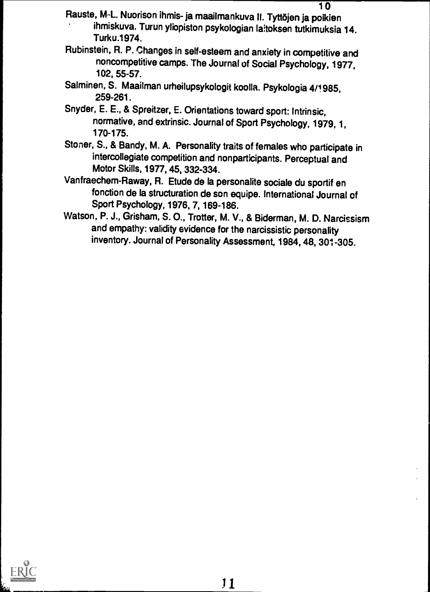- Rauste, M<sub>`</sub>L. Nuorison ihmis- ja maailmankuva II. Tyttöjen ja poikien ihmiskuva. Turun yliopiston psykologian laitoksen tutkimuksia 14. Turku.1974.
- Rubinstein, R. P. Changes in self-esteem and anxiety in competitive and noncompetitive camps. The Journal of Social Psychology, 1977, 102, 55-57.
- Salminen, S. Maailman urheilupsykologit koolla. Psykologia 4/1985, 259-261.
- Snyder, E. E., & Spreitzer, E. Orientations toward sport: Intrinsic, normative, and extrinsic. Journal of Sport Psychology, 1979, 1, 170-175.
- Stoner, S., & Bandy, M. A. Personality traits of females who participate in intercollegiate competition and nonparticipants. Perceptual and Motor Skills, 1977, 45, 332-334.
- Vanfraechem-Raway, R. Etude de la personalite sociale du sportif en fonction de la structuration de son equipe. International Journal of Sport Psychology, 1976, 7, 169-186.
- Watson, P. J., Grisham, S. 0., Trotter, M. V., & Biderman, M. D. Narcissism and empathy: validity evidence for the narcissistic personality inventory. Journal of Personality Assessment, 1984, 48, 301-305.

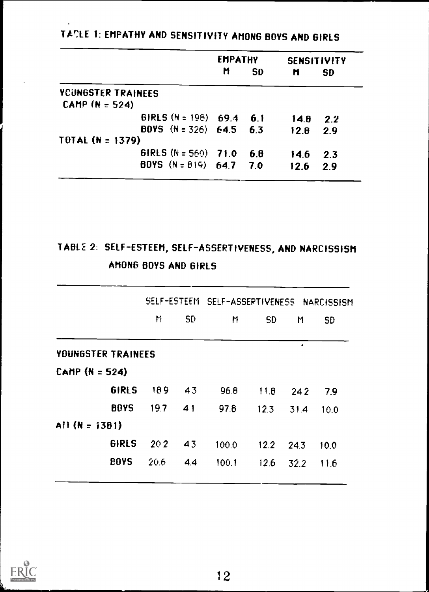|                               | <b>EMPATHY</b> |           | <b>SENSITIVITY</b> |           |
|-------------------------------|----------------|-----------|--------------------|-----------|
|                               | Ħ              | <b>SD</b> | M                  | <b>SD</b> |
| YCUNGSTER TRAINEES            |                |           |                    |           |
| CAMP $(N = 524)$              |                |           |                    |           |
| <b>GIRLS</b> $(N = 198)$ 69.4 |                | 6.1       | 14.8               | 2.2       |
| BOYS $(N = 326)$ 64.5 6.3     |                |           | 12.8               | 2.9       |
| TOTAL $(N = 1379)$            |                |           |                    |           |
| <b>GIRLS</b> $(N = 560)$ 71.0 |                | 6.8       | 14.6               | 2.3       |
| BOYS $(N = 619)$ 64.7 7.0     |                |           | 12.6               | 2.9       |

TACLE 1: EMPATHY AND SENSITIVITY AMONG BOYS AND GIRLS

# TABL2 2: SELF-ESTEEM, SELF-ASSERTIVENESS, AND NARCISSISM AMONG BOYS AND GIRLS

|                    |                |  | SELF-ESTEEM SELF-ASSERTIVENESS NARCISSISM |             |          |           |  |
|--------------------|----------------|--|-------------------------------------------|-------------|----------|-----------|--|
|                    | M<br><b>SD</b> |  | M                                         | <b>SD</b>   | M        | <b>SD</b> |  |
| YOUNGSTER TRAINEES |                |  |                                           |             | $\Delta$ |           |  |
| CAMP $(N = 524)$   |                |  |                                           |             |          |           |  |
| <b>GIRLS</b>       | 189<br>43      |  | 96.8                                      | 11.8        | 242      | 7.9       |  |
| <b>BOYS</b>        | 19.7<br>41     |  | 97.6                                      | 12.3        | 31.4     | 10.0      |  |
| All $(N = i381)$   |                |  |                                           |             |          |           |  |
| <b>GIRLS</b>       | 202<br>43      |  | 100.0                                     | $12.2$ 24.3 |          | 10.0      |  |
| <b>BOYS</b>        | 20.6<br>4.4    |  | 100.1                                     | 12.6        | 32.2     | 11.6      |  |
|                    |                |  |                                           |             |          |           |  |

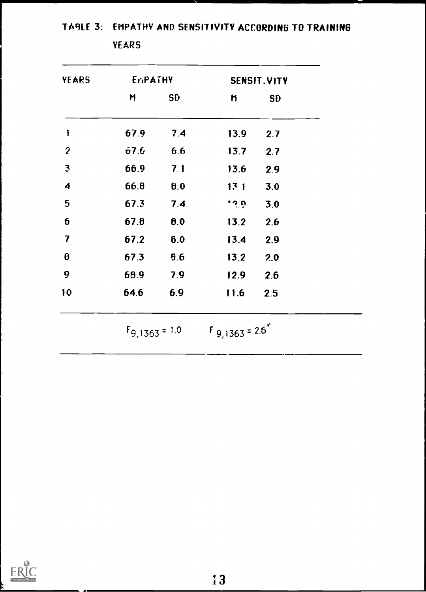| YEARS                   | EriPATHY |           |                     | SENSIT.VITY |
|-------------------------|----------|-----------|---------------------|-------------|
|                         | M        | <b>SD</b> | n                   | <b>SD</b>   |
| $\mathbf{1}$            | 67.9     | 7.4       | 13.9                | 2.7         |
| $\boldsymbol{2}$        | 67.6     | 6.6       | 13.7                | 2.7         |
| $\overline{\mathbf{3}}$ | 66.9     | 7.1       | 13.6                | 2.9         |
| 4                       | 66.8     | 0.0       | 131                 | 3.0         |
| 5                       | 67.3     | 7.4       | $\ddot{\mathbf{v}}$ | 3.0         |
| 6                       | 67.8     | 0.0       | 13.2                | 2.6         |
| 7                       | 67.2     | 6.0       | 13.4                | 2.9         |
| $\boldsymbol{\theta}$   | 67.3     | 9.6       | 13.2                | 2.0         |
| 9                       | 68.9     | 7.9       | 12.9                | 2.6         |
| 10                      | 64.6     | 6.9       | 11.6                | 2.5         |

TABLE 3: EMPATHY AND SENSITIVITY ACCORDING TO TRAINING

YEARS

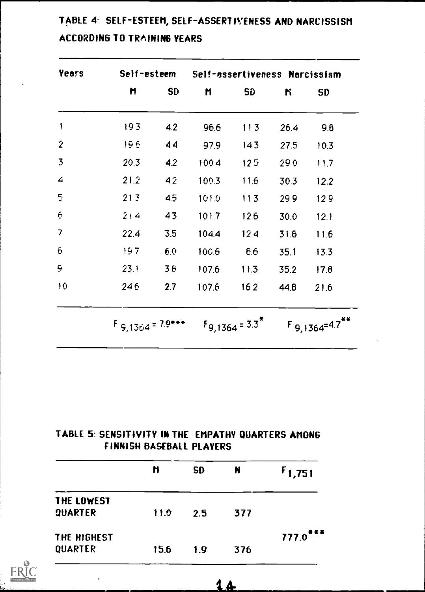| <b>Years</b>         |                       |           | Self-esteem Self-assertiveness Narcissism |                     |      |                     |
|----------------------|-----------------------|-----------|-------------------------------------------|---------------------|------|---------------------|
|                      | Ħ                     | <b>SD</b> | M                                         | <b>SD</b>           | ĸ    | <b>SD</b>           |
| 1                    | 193                   | 4.2       | 96.6                                      | 113                 | 26.4 | 9.6                 |
| $\overline{2}$       | 196                   | 44        | 97.9                                      | 14.3                | 27.5 | 10.3                |
| $\overline{3}$       | 20.3                  | 4.2       | 1004                                      | 125                 | 290  | 11.7                |
| 4                    | 21.2                  | 42        | 100.3                                     | 11.6                | 30.3 | 12.2                |
| 5                    | 213                   | 4.5       | 101.0                                     | 113                 | 299  | 129                 |
| 6                    | 214                   | 43        | 101.7                                     | 12.6                | 30.0 | 12.1                |
| 7                    | 22.4                  | 3.5       | 104.4                                     | 12.4                | 31.6 | 11.6                |
| $\tilde{\mathbf{C}}$ | 197                   | 6.0       | 100.6                                     | 6.6                 | 35.1 | 13.3                |
| $\overline{9}$       | 23.1                  | 36        | 107.6                                     | 11.3                | 35.2 | 17.8                |
| 10                   | 246                   | 2.7       | 107.6                                     | 162                 | 44.6 | 21.6                |
|                      | $F_{9,1364} = 7.9***$ |           |                                           | $F_{9,1364} = 3.3*$ |      | $F_{9,1364}=4.7***$ |

# TABLE 4: SELF-ESTEEM, SELF-ASSERTIVENESS AND NARCISSISM ACCORDING TO TRAINING YEARS

## TABLE 5: SENSITIVITY IN THE EMPATHY QUARTERS AMONG FINNISH BASEBALL PLAYERS

|                | n    | <b>SD</b> | N   | $F_{1,751}$            |
|----------------|------|-----------|-----|------------------------|
| THE LOWEST     |      |           |     |                        |
| <b>QUARTER</b> | 11.0 | 2.5       | 377 |                        |
| THE HIGHEST    |      |           |     | $777.0$ <sup>***</sup> |
| QUARTER        | 15.6 | 1.9       | 376 |                        |

14

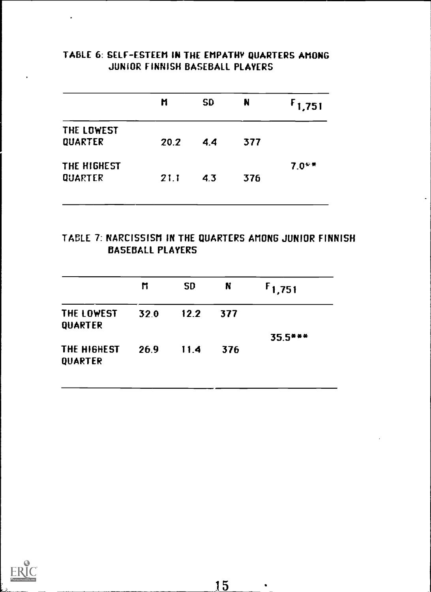| UUMIUN FIMMIJN DAJEDALL FLATEKJ |      |           |     |             |  |  |
|---------------------------------|------|-----------|-----|-------------|--|--|
|                                 | M    | <b>SD</b> | N   | $F_{1,751}$ |  |  |
| THE LOWEST<br><b>QUARTER</b>    | 20.2 | 4.4       | 377 |             |  |  |
| THE HIGHEST                     |      |           |     | $7.0***$    |  |  |

QUARTER 21.1 4.3 376

## TABLE 6: SELF-ESTEEM IN THE EMPATHY QUARTERS AMONG JUNIOR FINNISH BASEBALL PLAYERS

## TABLE 7: NARCISSISM IN THE QUARTERS AMONG JUNIOR FINNISH BASEBALL PLAYERS

|                        | M    | <b>SD</b> | N   | $F_{1,751}$ |
|------------------------|------|-----------|-----|-------------|
| THE LOWEST<br>QUARTER  | 32.0 | 12.2      | 377 |             |
| THE HIGHEST<br>QUARTER | 26.9 | 11.4      | 376 | $35.5***$   |

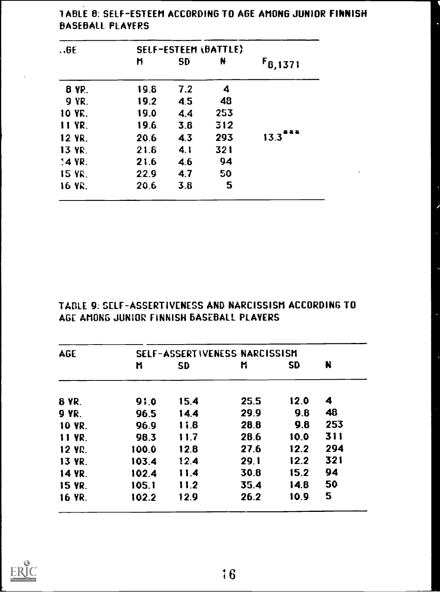| .6E          |      | SELF-ESTEEM (BATTLE) |     |              |  |  |
|--------------|------|----------------------|-----|--------------|--|--|
|              | n    | <b>SD</b>            | N   | $F_{8,1371}$ |  |  |
| <b>8 YP.</b> | 19.8 | 7.2                  | 4   |              |  |  |
| <b>9 YR.</b> | 19.2 | 4.5                  | 48  |              |  |  |
| 10 YR.       | 19.0 | 4.4                  | 253 |              |  |  |
| 11 YR.       | 19.6 | 3.8                  | 312 |              |  |  |
| 12 YR.       | 20.6 | 4.3                  | 293 | .<br>13.3    |  |  |
| 13 YR.       | 21.6 | 4.1                  | 321 |              |  |  |
| 14 YR.       | 21.6 | 4.6                  | 94  |              |  |  |
| 15 YR.       | 22.9 | 4.7                  | 50  |              |  |  |
| 16 YR.       | 20.6 | 3.8                  | 5   |              |  |  |

 $\rightarrow$ 

1ABLE 8: SELF-ESTEEM ACCORDING TO AGE AMONG JUNIOR FINNISH BASEBALL PLAYERS

| TABLE 9: SELF-ASSERTIVENESS AND NARCISSISM ACCORDING TO |  |
|---------------------------------------------------------|--|
| AGE AMONG JUNIOR FINNISH BASEBALL PLAYERS               |  |

| <b>AGE</b>    |       |           | SELF-ASSERTIVENESS NARCISSISM |           |     |
|---------------|-------|-----------|-------------------------------|-----------|-----|
|               | N     | <b>SD</b> | M                             | <b>SD</b> | N   |
| <b>8 YR.</b>  | 91.0  | 15.4      | 25.5                          | 12.0      | 4   |
| <b>9 YR.</b>  | 96.5  | 14.4      | 29.9                          | 9.8       | 48  |
| 10 YR.        | 96.9  | 11.8      | 28.8                          | 9.8       | 253 |
| 11 YR.        | 98.3  | 11.7      | 28.6                          | 10.0      | 311 |
| <b>12 YR.</b> | 100.0 | 12.8      | 27.6                          | 12.2      | 294 |
| <b>13 YR.</b> | 103.4 | 12.4      | 29.1                          | 12.2      | 321 |
| 14 YR.        | 102.4 | 11.4      | 30.8                          | 15.2      | 94  |
| <b>15 YR.</b> | 105.1 | 11.2      | 35.4                          | 14.8      | 50  |
| <b>16 YR.</b> | 102.2 | 12.9      | 26.2                          | 10.9      | 5.  |